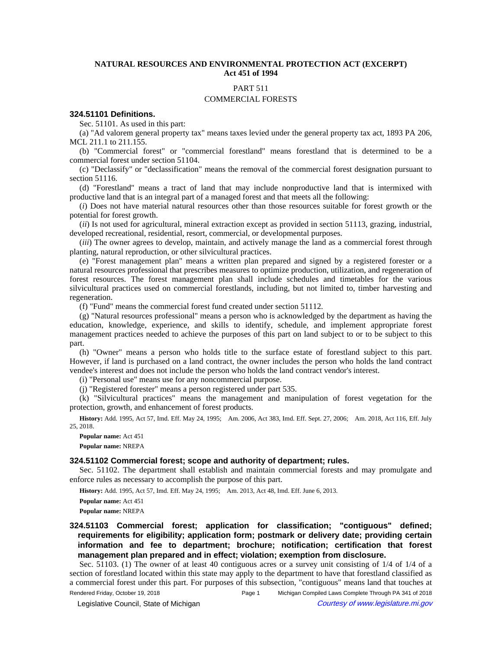# **NATURAL RESOURCES AND ENVIRONMENTAL PROTECTION ACT (EXCERPT) Act 451 of 1994**

## PART 511

## COMMERCIAL FORESTS

### **324.51101 Definitions.**

Sec. 51101. As used in this part:

(a) "Ad valorem general property tax" means taxes levied under the general property tax act, 1893 PA 206, MCL 211.1 to 211.155.

(b) "Commercial forest" or "commercial forestland" means forestland that is determined to be a commercial forest under section 51104.

(c) "Declassify" or "declassification" means the removal of the commercial forest designation pursuant to section 51116.

(d) "Forestland" means a tract of land that may include nonproductive land that is intermixed with productive land that is an integral part of a managed forest and that meets all the following:

(*i*) Does not have material natural resources other than those resources suitable for forest growth or the potential for forest growth.

(*ii*) Is not used for agricultural, mineral extraction except as provided in section 51113, grazing, industrial, developed recreational, residential, resort, commercial, or developmental purposes.

(*iii*) The owner agrees to develop, maintain, and actively manage the land as a commercial forest through planting, natural reproduction, or other silvicultural practices.

(e) "Forest management plan" means a written plan prepared and signed by a registered forester or a natural resources professional that prescribes measures to optimize production, utilization, and regeneration of forest resources. The forest management plan shall include schedules and timetables for the various silvicultural practices used on commercial forestlands, including, but not limited to, timber harvesting and regeneration.

(f) "Fund" means the commercial forest fund created under section 51112.

(g) "Natural resources professional" means a person who is acknowledged by the department as having the education, knowledge, experience, and skills to identify, schedule, and implement appropriate forest management practices needed to achieve the purposes of this part on land subject to or to be subject to this part.

(h) "Owner" means a person who holds title to the surface estate of forestland subject to this part. However, if land is purchased on a land contract, the owner includes the person who holds the land contract vendee's interest and does not include the person who holds the land contract vendor's interest.

(i) "Personal use" means use for any noncommercial purpose.

(j) "Registered forester" means a person registered under part 535.

(k) "Silvicultural practices" means the management and manipulation of forest vegetation for the protection, growth, and enhancement of forest products.

History: Add. 1995, Act 57, Imd. Eff. May 24, 1995;—Am. 2006, Act 383, Imd. Eff. Sept. 27, 2006;—Am. 2018, Act 116, Eff. July 25, 2018.

**Popular name:** Act 451 **Popular name:** NREPA

#### **324.51102 Commercial forest; scope and authority of department; rules.**

Sec. 51102. The department shall establish and maintain commercial forests and may promulgate and enforce rules as necessary to accomplish the purpose of this part.

History: Add. 1995, Act 57, Imd. Eff. May 24, 1995;-- Am. 2013, Act 48, Imd. Eff. June 6, 2013.

**Popular name:** Act 451 **Popular name:** NREPA

**324.51103 Commercial forest; application for classification; "contiguous" defined; requirements for eligibility; application form; postmark or delivery date; providing certain information and fee to department; brochure; notification; certification that forest management plan prepared and in effect; violation; exemption from disclosure.** 

Sec. 51103. (1) The owner of at least 40 contiguous acres or a survey unit consisting of 1/4 of 1/4 of a section of forestland located within this state may apply to the department to have that forestland classified as a commercial forest under this part. For purposes of this subsection, "contiguous" means land that touches at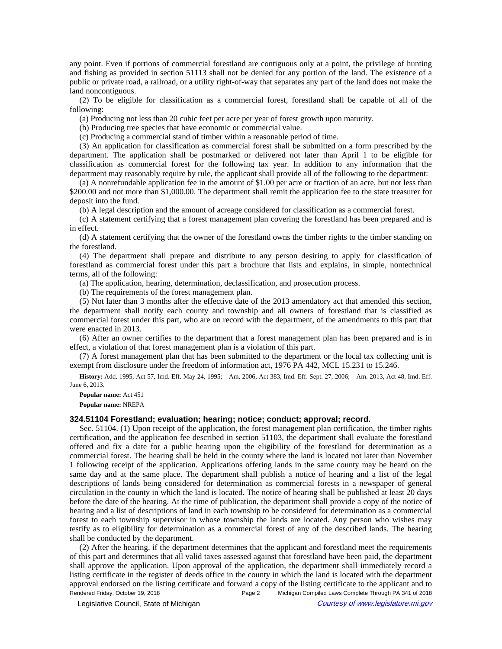any point. Even if portions of commercial forestland are contiguous only at a point, the privilege of hunting and fishing as provided in section 51113 shall not be denied for any portion of the land. The existence of a public or private road, a railroad, or a utility right-of-way that separates any part of the land does not make the land noncontiguous.

(2) To be eligible for classification as a commercial forest, forestland shall be capable of all of the following:

(a) Producing not less than 20 cubic feet per acre per year of forest growth upon maturity.

(b) Producing tree species that have economic or commercial value.

(c) Producing a commercial stand of timber within a reasonable period of time.

(3) An application for classification as commercial forest shall be submitted on a form prescribed by the department. The application shall be postmarked or delivered not later than April 1 to be eligible for classification as commercial forest for the following tax year. In addition to any information that the department may reasonably require by rule, the applicant shall provide all of the following to the department:

(a) A nonrefundable application fee in the amount of \$1.00 per acre or fraction of an acre, but not less than \$200.00 and not more than \$1,000.00. The department shall remit the application fee to the state treasurer for deposit into the fund.

(b) A legal description and the amount of acreage considered for classification as a commercial forest.

(c) A statement certifying that a forest management plan covering the forestland has been prepared and is in effect.

(d) A statement certifying that the owner of the forestland owns the timber rights to the timber standing on the forestland.

(4) The department shall prepare and distribute to any person desiring to apply for classification of forestland as commercial forest under this part a brochure that lists and explains, in simple, nontechnical terms, all of the following:

(a) The application, hearing, determination, declassification, and prosecution process.

(b) The requirements of the forest management plan.

(5) Not later than 3 months after the effective date of the 2013 amendatory act that amended this section, the department shall notify each county and township and all owners of forestland that is classified as commercial forest under this part, who are on record with the department, of the amendments to this part that were enacted in 2013.

(6) After an owner certifies to the department that a forest management plan has been prepared and is in effect, a violation of that forest management plan is a violation of this part.

(7) A forest management plan that has been submitted to the department or the local tax collecting unit is exempt from disclosure under the freedom of information act, 1976 PA 442, MCL 15.231 to 15.246.

History: Add. 1995, Act 57, Imd. Eff. May 24, 1995;—Am. 2006, Act 383, Imd. Eff. Sept. 27, 2006;—Am. 2013, Act 48, Imd. Eff. June 6, 2013.

**Popular name:** Act 451

**Popular name:** NREPA

## **324.51104 Forestland; evaluation; hearing; notice; conduct; approval; record.**

Sec. 51104. (1) Upon receipt of the application, the forest management plan certification, the timber rights certification, and the application fee described in section 51103, the department shall evaluate the forestland offered and fix a date for a public hearing upon the eligibility of the forestland for determination as a commercial forest. The hearing shall be held in the county where the land is located not later than November 1 following receipt of the application. Applications offering lands in the same county may be heard on the same day and at the same place. The department shall publish a notice of hearing and a list of the legal descriptions of lands being considered for determination as commercial forests in a newspaper of general circulation in the county in which the land is located. The notice of hearing shall be published at least 20 days before the date of the hearing. At the time of publication, the department shall provide a copy of the notice of hearing and a list of descriptions of land in each township to be considered for determination as a commercial forest to each township supervisor in whose township the lands are located. Any person who wishes may testify as to eligibility for determination as a commercial forest of any of the described lands. The hearing shall be conducted by the department.

(2) After the hearing, if the department determines that the applicant and forestland meet the requirements of this part and determines that all valid taxes assessed against that forestland have been paid, the department shall approve the application. Upon approval of the application, the department shall immediately record a listing certificate in the register of deeds office in the county in which the land is located with the department approval endorsed on the listing certificate and forward a copy of the listing certificate to the applicant and to Rendered Friday, October 19, 2018 Page 2 Michigan Compiled Laws Complete Through PA 341 of 2018

© Legislative Council, State of Michigan Council Courtesy of www.legislature.mi.gov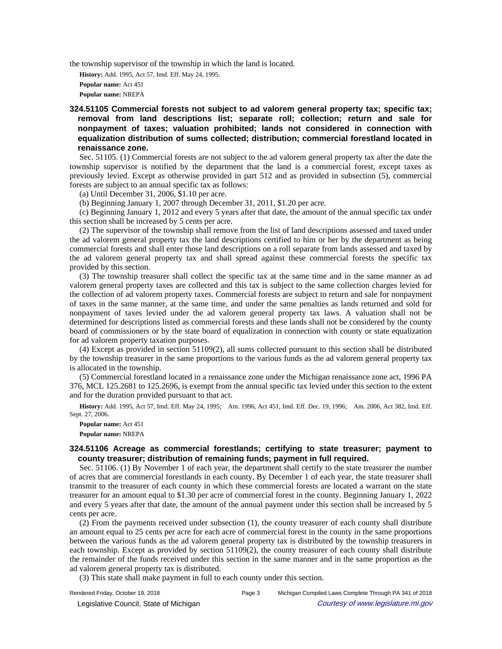the township supervisor of the township in which the land is located.

**History:** Add. 1995, Act 57, Imd. Eff. May 24, 1995. **Popular name:** Act 451 **Popular name:** NREPA

**324.51105 Commercial forests not subject to ad valorem general property tax; specific tax; removal from land descriptions list; separate roll; collection; return and sale for nonpayment of taxes; valuation prohibited; lands not considered in connection with equalization distribution of sums collected; distribution; commercial forestland located in renaissance zone.** 

Sec. 51105. (1) Commercial forests are not subject to the ad valorem general property tax after the date the township supervisor is notified by the department that the land is a commercial forest, except taxes as previously levied. Except as otherwise provided in part 512 and as provided in subsection (5), commercial forests are subject to an annual specific tax as follows:

(a) Until December 31, 2006, \$1.10 per acre.

(b) Beginning January 1, 2007 through December 31, 2011, \$1.20 per acre.

(c) Beginning January 1, 2012 and every 5 years after that date, the amount of the annual specific tax under this section shall be increased by 5 cents per acre.

(2) The supervisor of the township shall remove from the list of land descriptions assessed and taxed under the ad valorem general property tax the land descriptions certified to him or her by the department as being commercial forests and shall enter those land descriptions on a roll separate from lands assessed and taxed by the ad valorem general property tax and shall spread against these commercial forests the specific tax provided by this section.

(3) The township treasurer shall collect the specific tax at the same time and in the same manner as ad valorem general property taxes are collected and this tax is subject to the same collection charges levied for the collection of ad valorem property taxes. Commercial forests are subject to return and sale for nonpayment of taxes in the same manner, at the same time, and under the same penalties as lands returned and sold for nonpayment of taxes levied under the ad valorem general property tax laws. A valuation shall not be determined for descriptions listed as commercial forests and these lands shall not be considered by the county board of commissioners or by the state board of equalization in connection with county or state equalization for ad valorem property taxation purposes.

(4) Except as provided in section 51109(2), all sums collected pursuant to this section shall be distributed by the township treasurer in the same proportions to the various funds as the ad valorem general property tax is allocated in the township.

(5) Commercial forestland located in a renaissance zone under the Michigan renaissance zone act, 1996 PA 376, MCL 125.2681 to 125.2696, is exempt from the annual specific tax levied under this section to the extent and for the duration provided pursuant to that act.

History: Add. 1995, Act 57, Imd. Eff. May 24, 1995;—Am. 1996, Act 451, Imd. Eff. Dec. 19, 1996;—Am. 2006, Act 382, Imd. Eff. Sept. 27, 2006.

**Popular name:** Act 451 **Popular name:** NREPA

## **324.51106 Acreage as commercial forestlands; certifying to state treasurer; payment to county treasurer; distribution of remaining funds; payment in full required.**

Sec. 51106. (1) By November 1 of each year, the department shall certify to the state treasurer the number of acres that are commercial forestlands in each county. By December 1 of each year, the state treasurer shall transmit to the treasurer of each county in which these commercial forests are located a warrant on the state treasurer for an amount equal to \$1.30 per acre of commercial forest in the county. Beginning January 1, 2022 and every 5 years after that date, the amount of the annual payment under this section shall be increased by 5 cents per acre.

(2) From the payments received under subsection (1), the county treasurer of each county shall distribute an amount equal to 25 cents per acre for each acre of commercial forest in the county in the same proportions between the various funds as the ad valorem general property tax is distributed by the township treasurers in each township. Except as provided by section 51109(2), the county treasurer of each county shall distribute the remainder of the funds received under this section in the same manner and in the same proportion as the ad valorem general property tax is distributed.

(3) This state shall make payment in full to each county under this section.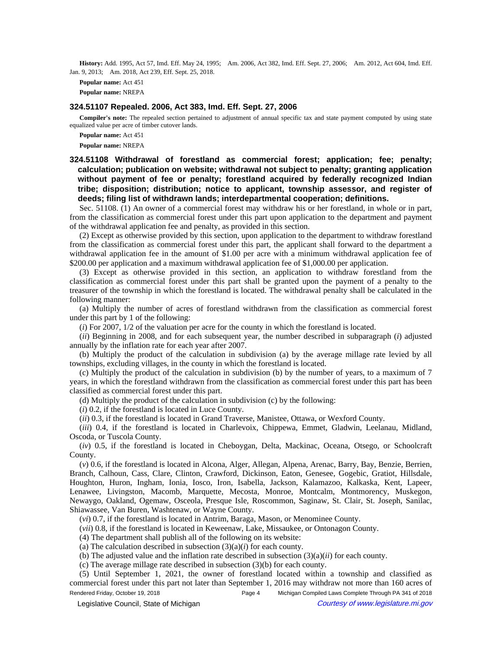History: Add. 1995, Act 57, Imd. Eff. May 24, 1995;—Am. 2006, Act 382, Imd. Eff. Sept. 27, 2006;—Am. 2012, Act 604, Imd. Eff. Jan. 9, 2013;-Am. 2018, Act 239, Eff. Sept. 25, 2018.

**Popular name:** Act 451 **Popular name:** NREPA

#### **324.51107 Repealed. 2006, Act 383, Imd. Eff. Sept. 27, 2006**

**Compiler's note:** The repealed section pertained to adjustment of annual specific tax and state payment computed by using state equalized value per acre of timber cutover lands.

**Popular name:** Act 451 **Popular name:** NREPA

**324.51108 Withdrawal of forestland as commercial forest; application; fee; penalty; calculation; publication on website; withdrawal not subject to penalty; granting application without payment of fee or penalty; forestland acquired by federally recognized Indian tribe; disposition; distribution; notice to applicant, township assessor, and register of deeds; filing list of withdrawn lands; interdepartmental cooperation; definitions.** 

Sec. 51108. (1) An owner of a commercial forest may withdraw his or her forestland, in whole or in part, from the classification as commercial forest under this part upon application to the department and payment of the withdrawal application fee and penalty, as provided in this section.

(2) Except as otherwise provided by this section, upon application to the department to withdraw forestland from the classification as commercial forest under this part, the applicant shall forward to the department a withdrawal application fee in the amount of \$1.00 per acre with a minimum withdrawal application fee of \$200.00 per application and a maximum withdrawal application fee of \$1,000.00 per application.

(3) Except as otherwise provided in this section, an application to withdraw forestland from the classification as commercial forest under this part shall be granted upon the payment of a penalty to the treasurer of the township in which the forestland is located. The withdrawal penalty shall be calculated in the following manner:

(a) Multiply the number of acres of forestland withdrawn from the classification as commercial forest under this part by 1 of the following:

(*i*) For 2007, 1/2 of the valuation per acre for the county in which the forestland is located.

(*ii*) Beginning in 2008, and for each subsequent year, the number described in subparagraph (*i*) adjusted annually by the inflation rate for each year after 2007.

(b) Multiply the product of the calculation in subdivision (a) by the average millage rate levied by all townships, excluding villages, in the county in which the forestland is located.

(c) Multiply the product of the calculation in subdivision (b) by the number of years, to a maximum of 7 years, in which the forestland withdrawn from the classification as commercial forest under this part has been classified as commercial forest under this part.

(d) Multiply the product of the calculation in subdivision (c) by the following:

(*i*) 0.2, if the forestland is located in Luce County.

(*ii*) 0.3, if the forestland is located in Grand Traverse, Manistee, Ottawa, or Wexford County.

(*iii*) 0.4, if the forestland is located in Charlevoix, Chippewa, Emmet, Gladwin, Leelanau, Midland, Oscoda, or Tuscola County.

(*iv*) 0.5, if the forestland is located in Cheboygan, Delta, Mackinac, Oceana, Otsego, or Schoolcraft County.

(*v*) 0.6, if the forestland is located in Alcona, Alger, Allegan, Alpena, Arenac, Barry, Bay, Benzie, Berrien, Branch, Calhoun, Cass, Clare, Clinton, Crawford, Dickinson, Eaton, Genesee, Gogebic, Gratiot, Hillsdale, Houghton, Huron, Ingham, Ionia, Iosco, Iron, Isabella, Jackson, Kalamazoo, Kalkaska, Kent, Lapeer, Lenawee, Livingston, Macomb, Marquette, Mecosta, Monroe, Montcalm, Montmorency, Muskegon, Newaygo, Oakland, Ogemaw, Osceola, Presque Isle, Roscommon, Saginaw, St. Clair, St. Joseph, Sanilac, Shiawassee, Van Buren, Washtenaw, or Wayne County.

(*vi*) 0.7, if the forestland is located in Antrim, Baraga, Mason, or Menominee County.

(*vii*) 0.8, if the forestland is located in Keweenaw, Lake, Missaukee, or Ontonagon County.

(4) The department shall publish all of the following on its website:

(a) The calculation described in subsection  $(3)(a)(i)$  for each county.

(b) The adjusted value and the inflation rate described in subsection (3)(a)(*ii*) for each county.

(c) The average millage rate described in subsection (3)(b) for each county.

(5) Until September 1, 2021, the owner of forestland located within a township and classified as commercial forest under this part not later than September 1, 2016 may withdraw not more than 160 acres of Rendered Friday, October 19, 2018 Page 4 Michigan Compiled Laws Complete Through PA 341 of 2018

© Legislative Council, State of Michigan Council Courtesy of www.legislature.mi.gov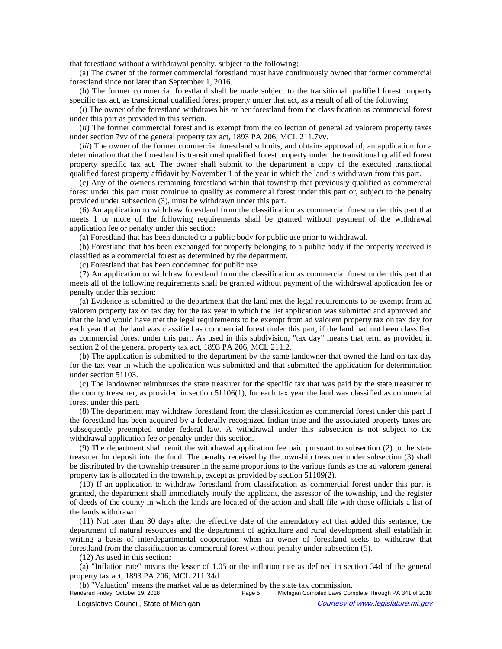that forestland without a withdrawal penalty, subject to the following:

(a) The owner of the former commercial forestland must have continuously owned that former commercial forestland since not later than September 1, 2016.

(b) The former commercial forestland shall be made subject to the transitional qualified forest property specific tax act, as transitional qualified forest property under that act, as a result of all of the following:

(*i*) The owner of the forestland withdraws his or her forestland from the classification as commercial forest under this part as provided in this section.

(*ii*) The former commercial forestland is exempt from the collection of general ad valorem property taxes under section 7vv of the general property tax act, 1893 PA 206, MCL 211.7vv.

(*iii*) The owner of the former commercial forestland submits, and obtains approval of, an application for a determination that the forestland is transitional qualified forest property under the transitional qualified forest property specific tax act. The owner shall submit to the department a copy of the executed transitional qualified forest property affidavit by November 1 of the year in which the land is withdrawn from this part.

(c) Any of the owner's remaining forestland within that township that previously qualified as commercial forest under this part must continue to qualify as commercial forest under this part or, subject to the penalty provided under subsection (3), must be withdrawn under this part.

(6) An application to withdraw forestland from the classification as commercial forest under this part that meets 1 or more of the following requirements shall be granted without payment of the withdrawal application fee or penalty under this section:

(a) Forestland that has been donated to a public body for public use prior to withdrawal.

(b) Forestland that has been exchanged for property belonging to a public body if the property received is classified as a commercial forest as determined by the department.

(c) Forestland that has been condemned for public use.

(7) An application to withdraw forestland from the classification as commercial forest under this part that meets all of the following requirements shall be granted without payment of the withdrawal application fee or penalty under this section:

(a) Evidence is submitted to the department that the land met the legal requirements to be exempt from ad valorem property tax on tax day for the tax year in which the list application was submitted and approved and that the land would have met the legal requirements to be exempt from ad valorem property tax on tax day for each year that the land was classified as commercial forest under this part, if the land had not been classified as commercial forest under this part. As used in this subdivision, "tax day" means that term as provided in section 2 of the general property tax act, 1893 PA 206, MCL 211.2.

(b) The application is submitted to the department by the same landowner that owned the land on tax day for the tax year in which the application was submitted and that submitted the application for determination under section 51103.

(c) The landowner reimburses the state treasurer for the specific tax that was paid by the state treasurer to the county treasurer, as provided in section 51106(1), for each tax year the land was classified as commercial forest under this part.

(8) The department may withdraw forestland from the classification as commercial forest under this part if the forestland has been acquired by a federally recognized Indian tribe and the associated property taxes are subsequently preempted under federal law. A withdrawal under this subsection is not subject to the withdrawal application fee or penalty under this section.

(9) The department shall remit the withdrawal application fee paid pursuant to subsection (2) to the state treasurer for deposit into the fund. The penalty received by the township treasurer under subsection (3) shall be distributed by the township treasurer in the same proportions to the various funds as the ad valorem general property tax is allocated in the township, except as provided by section 51109(2).

(10) If an application to withdraw forestland from classification as commercial forest under this part is granted, the department shall immediately notify the applicant, the assessor of the township, and the register of deeds of the county in which the lands are located of the action and shall file with those officials a list of the lands withdrawn.

(11) Not later than 30 days after the effective date of the amendatory act that added this sentence, the department of natural resources and the department of agriculture and rural development shall establish in writing a basis of interdepartmental cooperation when an owner of forestland seeks to withdraw that forestland from the classification as commercial forest without penalty under subsection (5).

(12) As used in this section:

(a) "Inflation rate" means the lesser of 1.05 or the inflation rate as defined in section 34d of the general property tax act, 1893 PA 206, MCL 211.34d.

(b) "Valuation" means the market value as determined by the state tax commission.<br>Rendered Friday, October 19, 2018<br>Page 5 Michigan Compiled Laws Con

Michigan Compiled Laws Complete Through PA 341 of 2018 © Legislative Council, State of Michigan Council Council Council Council Council Council Council Council Council Council Council Council Council Council Council Council Council Council Council Council Council Council Counc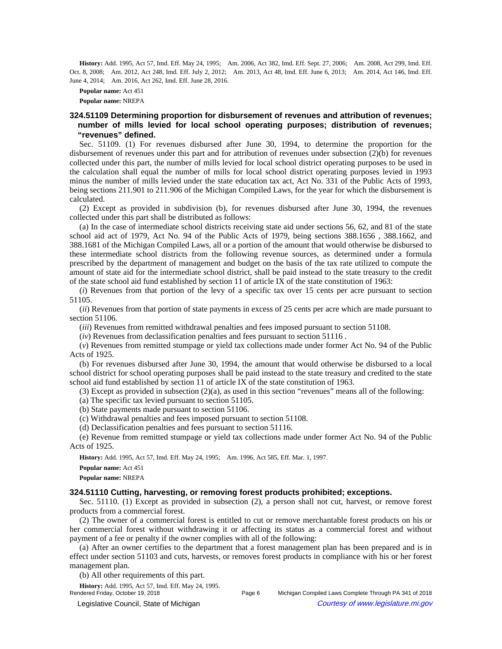History: Add. 1995, Act 57, Imd. Eff. May 24, 1995;—Am. 2006, Act 382, Imd. Eff. Sept. 27, 2006;—Am. 2008, Act 299, Imd. Eff. Oct. 8, 2008;—Am. 2012, Act 248, Imd. Eff. July 2, 2012;—Am. 2013, Act 48, Imd. Eff. June 6, 2013;—Am. 2014, Act 146, Imd. Eff. June 4, 2014;—Am. 2016, Act 262, Imd. Eff. June 28, 2016.

**Popular name:** Act 451 **Popular name:** NREPA

# **324.51109 Determining proportion for disbursement of revenues and attribution of revenues; number of mills levied for local school operating purposes; distribution of revenues; "revenues" defined.**

Sec. 51109. (1) For revenues disbursed after June 30, 1994, to determine the proportion for the disbursement of revenues under this part and for attribution of revenues under subsection (2)(b) for revenues collected under this part, the number of mills levied for local school district operating purposes to be used in the calculation shall equal the number of mills for local school district operating purposes levied in 1993 minus the number of mills levied under the state education tax act, Act No. 331 of the Public Acts of 1993, being sections 211.901 to 211.906 of the Michigan Compiled Laws, for the year for which the disbursement is calculated.

(2) Except as provided in subdivision (b), for revenues disbursed after June 30, 1994, the revenues collected under this part shall be distributed as follows:

(a) In the case of intermediate school districts receiving state aid under sections 56, 62, and 81 of the state school aid act of 1979, Act No. 94 of the Public Acts of 1979, being sections 388.1656 , 388.1662, and 388.1681 of the Michigan Compiled Laws, all or a portion of the amount that would otherwise be disbursed to these intermediate school districts from the following revenue sources, as determined under a formula prescribed by the department of management and budget on the basis of the tax rate utilized to compute the amount of state aid for the intermediate school district, shall be paid instead to the state treasury to the credit of the state school aid fund established by section 11 of article IX of the state constitution of 1963:

(*i*) Revenues from that portion of the levy of a specific tax over 15 cents per acre pursuant to section 51105.

(*ii*) Revenues from that portion of state payments in excess of 25 cents per acre which are made pursuant to section 51106.

(*iii*) Revenues from remitted withdrawal penalties and fees imposed pursuant to section 51108.

(*iv*) Revenues from declassification penalties and fees pursuant to section 51116 .

(*v*) Revenues from remitted stumpage or yield tax collections made under former Act No. 94 of the Public Acts of 1925.

(b) For revenues disbursed after June 30, 1994, the amount that would otherwise be disbursed to a local school district for school operating purposes shall be paid instead to the state treasury and credited to the state school aid fund established by section 11 of article IX of the state constitution of 1963.

(3) Except as provided in subsection  $(2)(a)$ , as used in this section "revenues" means all of the following:

(a) The specific tax levied pursuant to section 51105.

(b) State payments made pursuant to section 51106.

(c) Withdrawal penalties and fees imposed pursuant to section 51108.

(d) Declassification penalties and fees pursuant to section 51116.

(e) Revenue from remitted stumpage or yield tax collections made under former Act No. 94 of the Public Acts of 1925.

**History:** Add. 1995, Act 57, Imd. Eff. May 24, 1995;⎯Am. 1996, Act 585, Eff. Mar. 1, 1997.

**Popular name:** Act 451

**Popular name:** NREPA

#### **324.51110 Cutting, harvesting, or removing forest products prohibited; exceptions.**

Sec. 51110. (1) Except as provided in subsection (2), a person shall not cut, harvest, or remove forest products from a commercial forest.

(2) The owner of a commercial forest is entitled to cut or remove merchantable forest products on his or her commercial forest without withdrawing it or affecting its status as a commercial forest and without payment of a fee or penalty if the owner complies with all of the following:

(a) After an owner certifies to the department that a forest management plan has been prepared and is in effect under section 51103 and cuts, harvests, or removes forest products in compliance with his or her forest management plan.

(b) All other requirements of this part.

**History:** Add. 1995, Act 57, Imd. Eff. May 24, 1995.

Page 6 Michigan Compiled Laws Complete Through PA 341 of 2018 © Legislative Council, State of Michigan Council Courtesy of www.legislature.mi.gov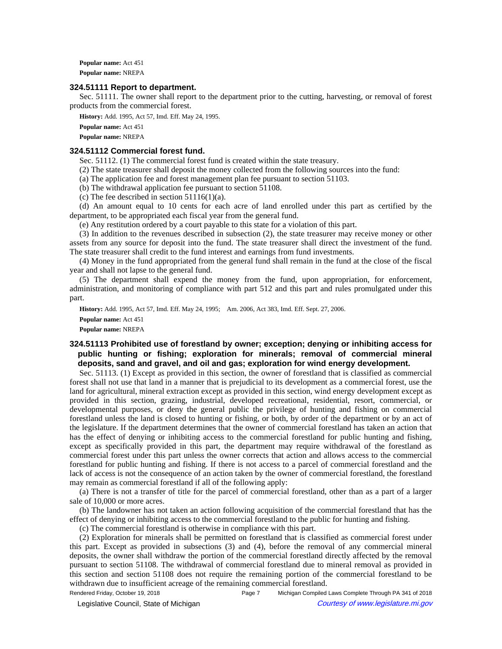**Popular name:** Act 451 **Popular name:** NREPA

#### **324.51111 Report to department.**

Sec. 51111. The owner shall report to the department prior to the cutting, harvesting, or removal of forest products from the commercial forest.

**History:** Add. 1995, Act 57, Imd. Eff. May 24, 1995.

**Popular name:** Act 451 **Popular name:** NREPA

#### **324.51112 Commercial forest fund.**

Sec. 51112. (1) The commercial forest fund is created within the state treasury.

(2) The state treasurer shall deposit the money collected from the following sources into the fund:

(a) The application fee and forest management plan fee pursuant to section 51103.

(b) The withdrawal application fee pursuant to section 51108.

(c) The fee described in section  $51116(1)(a)$ .

(d) An amount equal to 10 cents for each acre of land enrolled under this part as certified by the department, to be appropriated each fiscal year from the general fund.

(e) Any restitution ordered by a court payable to this state for a violation of this part.

(3) In addition to the revenues described in subsection (2), the state treasurer may receive money or other assets from any source for deposit into the fund. The state treasurer shall direct the investment of the fund. The state treasurer shall credit to the fund interest and earnings from fund investments.

(4) Money in the fund appropriated from the general fund shall remain in the fund at the close of the fiscal year and shall not lapse to the general fund.

(5) The department shall expend the money from the fund, upon appropriation, for enforcement, administration, and monitoring of compliance with part 512 and this part and rules promulgated under this part.

History: Add. 1995, Act 57, Imd. Eff. May 24, 1995;—Am. 2006, Act 383, Imd. Eff. Sept. 27, 2006.

**Popular name:** Act 451

**Popular name:** NREPA

# **324.51113 Prohibited use of forestland by owner; exception; denying or inhibiting access for public hunting or fishing; exploration for minerals; removal of commercial mineral deposits, sand and gravel, and oil and gas; exploration for wind energy development.**

Sec. 51113. (1) Except as provided in this section, the owner of forestland that is classified as commercial forest shall not use that land in a manner that is prejudicial to its development as a commercial forest, use the land for agricultural, mineral extraction except as provided in this section, wind energy development except as provided in this section, grazing, industrial, developed recreational, residential, resort, commercial, or developmental purposes, or deny the general public the privilege of hunting and fishing on commercial forestland unless the land is closed to hunting or fishing, or both, by order of the department or by an act of the legislature. If the department determines that the owner of commercial forestland has taken an action that has the effect of denying or inhibiting access to the commercial forestland for public hunting and fishing, except as specifically provided in this part, the department may require withdrawal of the forestland as commercial forest under this part unless the owner corrects that action and allows access to the commercial forestland for public hunting and fishing. If there is not access to a parcel of commercial forestland and the lack of access is not the consequence of an action taken by the owner of commercial forestland, the forestland may remain as commercial forestland if all of the following apply:

(a) There is not a transfer of title for the parcel of commercial forestland, other than as a part of a larger sale of 10,000 or more acres.

(b) The landowner has not taken an action following acquisition of the commercial forestland that has the effect of denying or inhibiting access to the commercial forestland to the public for hunting and fishing.

(c) The commercial forestland is otherwise in compliance with this part.

(2) Exploration for minerals shall be permitted on forestland that is classified as commercial forest under this part. Except as provided in subsections (3) and (4), before the removal of any commercial mineral deposits, the owner shall withdraw the portion of the commercial forestland directly affected by the removal pursuant to section 51108. The withdrawal of commercial forestland due to mineral removal as provided in this section and section 51108 does not require the remaining portion of the commercial forestland to be withdrawn due to insufficient acreage of the remaining commercial forestland.

Rendered Friday, October 19, 2018 Page 7 Michigan Compiled Laws Complete Through PA 341 of 2018

© Legislative Council, State of Michigan Courtesy of www.legislature.mi.gov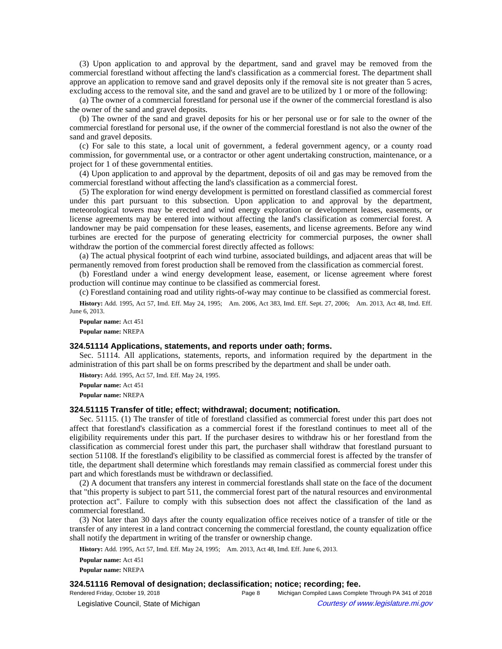(3) Upon application to and approval by the department, sand and gravel may be removed from the commercial forestland without affecting the land's classification as a commercial forest. The department shall approve an application to remove sand and gravel deposits only if the removal site is not greater than 5 acres, excluding access to the removal site, and the sand and gravel are to be utilized by 1 or more of the following:

(a) The owner of a commercial forestland for personal use if the owner of the commercial forestland is also the owner of the sand and gravel deposits.

(b) The owner of the sand and gravel deposits for his or her personal use or for sale to the owner of the commercial forestland for personal use, if the owner of the commercial forestland is not also the owner of the sand and gravel deposits.

(c) For sale to this state, a local unit of government, a federal government agency, or a county road commission, for governmental use, or a contractor or other agent undertaking construction, maintenance, or a project for 1 of these governmental entities.

(4) Upon application to and approval by the department, deposits of oil and gas may be removed from the commercial forestland without affecting the land's classification as a commercial forest.

(5) The exploration for wind energy development is permitted on forestland classified as commercial forest under this part pursuant to this subsection. Upon application to and approval by the department, meteorological towers may be erected and wind energy exploration or development leases, easements, or license agreements may be entered into without affecting the land's classification as commercial forest. A landowner may be paid compensation for these leases, easements, and license agreements. Before any wind turbines are erected for the purpose of generating electricity for commercial purposes, the owner shall withdraw the portion of the commercial forest directly affected as follows:

(a) The actual physical footprint of each wind turbine, associated buildings, and adjacent areas that will be permanently removed from forest production shall be removed from the classification as commercial forest.

(b) Forestland under a wind energy development lease, easement, or license agreement where forest production will continue may continue to be classified as commercial forest.

(c) Forestland containing road and utility rights-of-way may continue to be classified as commercial forest.

History: Add. 1995, Act 57, Imd. Eff. May 24, 1995;
-- Am. 2006, Act 383, Imd. Eff. Sept. 27, 2006;
-- Am. 2013, Act 48, Imd. Eff. June 6, 2013.

**Popular name:** Act 451 **Popular name:** NREPA

#### **324.51114 Applications, statements, and reports under oath; forms.**

Sec. 51114. All applications, statements, reports, and information required by the department in the administration of this part shall be on forms prescribed by the department and shall be under oath.

**History:** Add. 1995, Act 57, Imd. Eff. May 24, 1995.

**Popular name:** Act 451 **Popular name:** NREPA

### **324.51115 Transfer of title; effect; withdrawal; document; notification.**

Sec. 51115. (1) The transfer of title of forestland classified as commercial forest under this part does not affect that forestland's classification as a commercial forest if the forestland continues to meet all of the eligibility requirements under this part. If the purchaser desires to withdraw his or her forestland from the classification as commercial forest under this part, the purchaser shall withdraw that forestland pursuant to section 51108. If the forestland's eligibility to be classified as commercial forest is affected by the transfer of title, the department shall determine which forestlands may remain classified as commercial forest under this part and which forestlands must be withdrawn or declassified.

(2) A document that transfers any interest in commercial forestlands shall state on the face of the document that "this property is subject to part 511, the commercial forest part of the natural resources and environmental protection act". Failure to comply with this subsection does not affect the classification of the land as commercial forestland.

(3) Not later than 30 days after the county equalization office receives notice of a transfer of title or the transfer of any interest in a land contract concerning the commercial forestland, the county equalization office shall notify the department in writing of the transfer or ownership change.

History: Add. 1995, Act 57, Imd. Eff. May 24, 1995;—Am. 2013, Act 48, Imd. Eff. June 6, 2013.

**Popular name:** Act 451 **Popular name:** NREPA

#### **324.51116 Removal of designation; declassification; notice; recording; fee.**

Rendered Friday, October 19, 2018 Page 8 Michigan Compiled Laws Complete Through PA 341 of 2018 © Legislative Council, State of Michigan Council Courtesy of www.legislature.mi.gov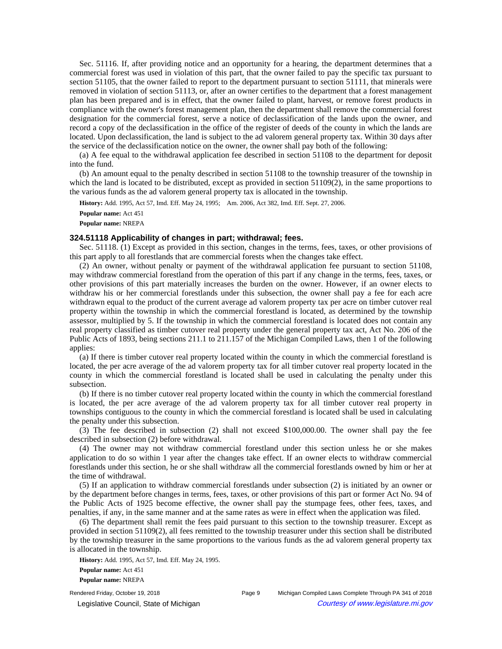Sec. 51116. If, after providing notice and an opportunity for a hearing, the department determines that a commercial forest was used in violation of this part, that the owner failed to pay the specific tax pursuant to section 51105, that the owner failed to report to the department pursuant to section 51111, that minerals were removed in violation of section 51113, or, after an owner certifies to the department that a forest management plan has been prepared and is in effect, that the owner failed to plant, harvest, or remove forest products in compliance with the owner's forest management plan, then the department shall remove the commercial forest designation for the commercial forest, serve a notice of declassification of the lands upon the owner, and record a copy of the declassification in the office of the register of deeds of the county in which the lands are located. Upon declassification, the land is subject to the ad valorem general property tax. Within 30 days after the service of the declassification notice on the owner, the owner shall pay both of the following:

(a) A fee equal to the withdrawal application fee described in section 51108 to the department for deposit into the fund.

(b) An amount equal to the penalty described in section 51108 to the township treasurer of the township in which the land is located to be distributed, except as provided in section 51109(2), in the same proportions to the various funds as the ad valorem general property tax is allocated in the township.

History: Add. 1995, Act 57, Imd. Eff. May 24, 1995;-- Am. 2006, Act 382, Imd. Eff. Sept. 27, 2006.

**Popular name:** Act 451 **Popular name:** NREPA

# **324.51118 Applicability of changes in part; withdrawal; fees.**

Sec. 51118. (1) Except as provided in this section, changes in the terms, fees, taxes, or other provisions of this part apply to all forestlands that are commercial forests when the changes take effect.

(2) An owner, without penalty or payment of the withdrawal application fee pursuant to section 51108, may withdraw commercial forestland from the operation of this part if any change in the terms, fees, taxes, or other provisions of this part materially increases the burden on the owner. However, if an owner elects to withdraw his or her commercial forestlands under this subsection, the owner shall pay a fee for each acre withdrawn equal to the product of the current average ad valorem property tax per acre on timber cutover real property within the township in which the commercial forestland is located, as determined by the township assessor, multiplied by 5. If the township in which the commercial forestland is located does not contain any real property classified as timber cutover real property under the general property tax act, Act No. 206 of the Public Acts of 1893, being sections 211.1 to 211.157 of the Michigan Compiled Laws, then 1 of the following applies:

(a) If there is timber cutover real property located within the county in which the commercial forestland is located, the per acre average of the ad valorem property tax for all timber cutover real property located in the county in which the commercial forestland is located shall be used in calculating the penalty under this subsection.

(b) If there is no timber cutover real property located within the county in which the commercial forestland is located, the per acre average of the ad valorem property tax for all timber cutover real property in townships contiguous to the county in which the commercial forestland is located shall be used in calculating the penalty under this subsection.

(3) The fee described in subsection (2) shall not exceed \$100,000.00. The owner shall pay the fee described in subsection (2) before withdrawal.

(4) The owner may not withdraw commercial forestland under this section unless he or she makes application to do so within 1 year after the changes take effect. If an owner elects to withdraw commercial forestlands under this section, he or she shall withdraw all the commercial forestlands owned by him or her at the time of withdrawal.

(5) If an application to withdraw commercial forestlands under subsection (2) is initiated by an owner or by the department before changes in terms, fees, taxes, or other provisions of this part or former Act No. 94 of the Public Acts of 1925 become effective, the owner shall pay the stumpage fees, other fees, taxes, and penalties, if any, in the same manner and at the same rates as were in effect when the application was filed.

(6) The department shall remit the fees paid pursuant to this section to the township treasurer. Except as provided in section 51109(2), all fees remitted to the township treasurer under this section shall be distributed by the township treasurer in the same proportions to the various funds as the ad valorem general property tax is allocated in the township.

**History:** Add. 1995, Act 57, Imd. Eff. May 24, 1995. **Popular name:** Act 451 **Popular name:** NREPA

Rendered Friday, October 19, 2018 Page 9 Michigan Compiled Laws Complete Through PA 341 of 2018